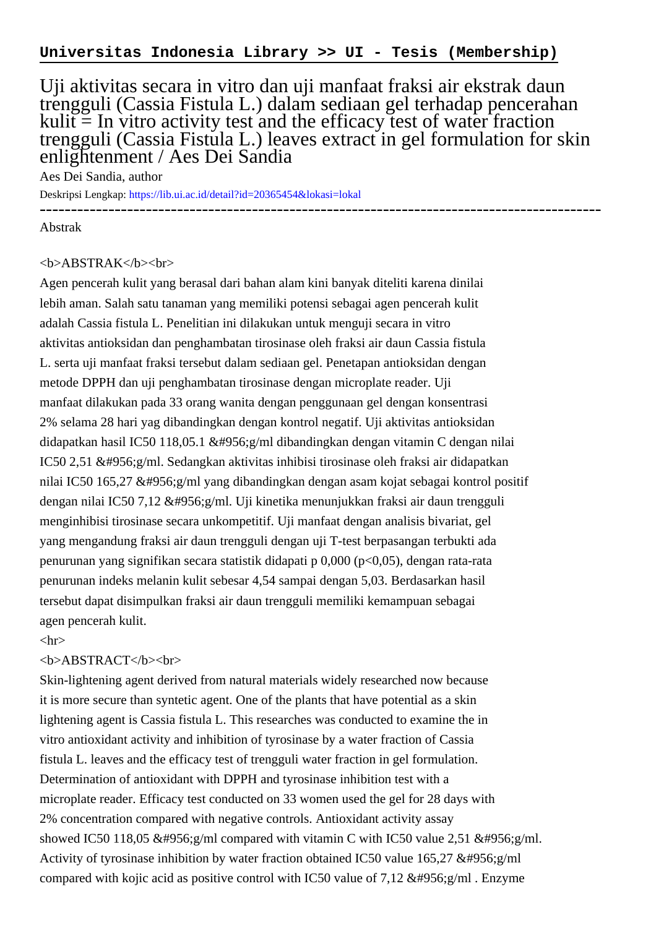## Uji aktivitas secara in vitro dan uji manfaat fraksi air ekstrak daun trengguli (Cassia Fistula L.) dalam sediaan gel terhadap pencerahan  $kuli = In$  vitro activity test and the efficacy test of water fraction trengguli (Cassia Fistula L.) leaves extract in gel formulation for skin enlightenment / Aes Dei Sandia

Aes Dei Sandia, author

Deskripsi Lengkap:<https://lib.ui.ac.id/detail?id=20365454&lokasi=lokal> ------------------------------------------------------------------------------------------

Abstrak

## <b>ABSTRAK</b><br>

Agen pencerah kulit yang berasal dari bahan alam kini banyak diteliti karena dinilai lebih aman. Salah satu tanaman yang memiliki potensi sebagai agen pencerah kulit adalah Cassia fistula L. Penelitian ini dilakukan untuk menguji secara in vitro aktivitas antioksidan dan penghambatan tirosinase oleh fraksi air daun Cassia fistula L. serta uji manfaat fraksi tersebut dalam sediaan gel. Penetapan antioksidan dengan metode DPPH dan uji penghambatan tirosinase dengan microplate reader. Uji manfaat dilakukan pada 33 orang wanita dengan penggunaan gel dengan konsentrasi 2% selama 28 hari yag dibandingkan dengan kontrol negatif. Uji aktivitas antioksidan didapatkan hasil IC50 118,05.1 μg/ml dibandingkan dengan vitamin C dengan nilai IC50 2,51 μg/ml. Sedangkan aktivitas inhibisi tirosinase oleh fraksi air didapatkan nilai IC50 165,27 μg/ml yang dibandingkan dengan asam kojat sebagai kontrol positif dengan nilai IC50 7,12 μg/ml. Uji kinetika menunjukkan fraksi air daun trengguli menginhibisi tirosinase secara unkompetitif. Uji manfaat dengan analisis bivariat, gel yang mengandung fraksi air daun trengguli dengan uji T-test berpasangan terbukti ada penurunan yang signifikan secara statistik didapati p 0,000 (p<0,05), dengan rata-rata penurunan indeks melanin kulit sebesar 4,54 sampai dengan 5,03. Berdasarkan hasil tersebut dapat disimpulkan fraksi air daun trengguli memiliki kemampuan sebagai agen pencerah kulit.

 $\langle$ hr $>$ 

## <b>ABSTRACT</b><br>

Skin-lightening agent derived from natural materials widely researched now because it is more secure than syntetic agent. One of the plants that have potential as a skin lightening agent is Cassia fistula L. This researches was conducted to examine the in vitro antioxidant activity and inhibition of tyrosinase by a water fraction of Cassia fistula L. leaves and the efficacy test of trengguli water fraction in gel formulation. Determination of antioxidant with DPPH and tyrosinase inhibition test with a microplate reader. Efficacy test conducted on 33 women used the gel for 28 days with 2% concentration compared with negative controls. Antioxidant activity assay showed IC50 118,05 μg/ml compared with vitamin C with IC50 value 2,51 μg/ml. Activity of tyrosinase inhibition by water fraction obtained IC50 value  $165,27$  μ $g/ml$ compared with kojic acid as positive control with IC50 value of 7,12  $&\#956$ ; g/ml. Enzyme